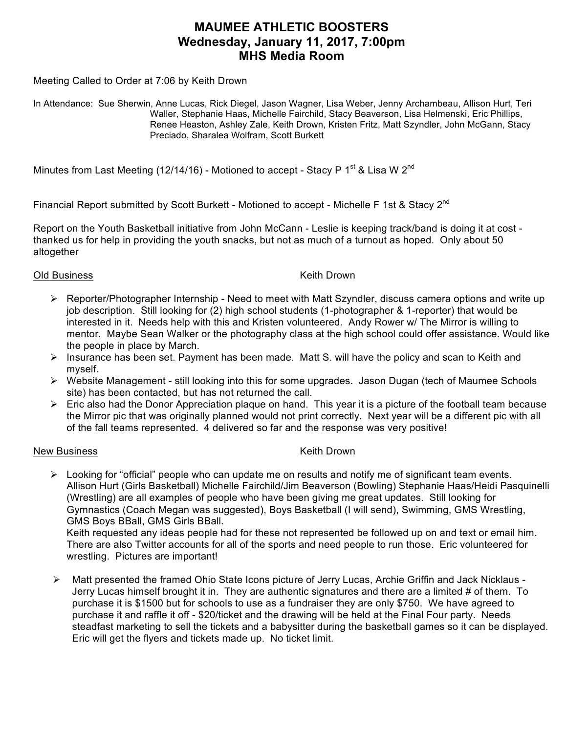# **MAUMEE ATHLETIC BOOSTERS Wednesday, January 11, 2017, 7:00pm MHS Media Room**

Meeting Called to Order at 7:06 by Keith Drown

In Attendance: Sue Sherwin, Anne Lucas, Rick Diegel, Jason Wagner, Lisa Weber, Jenny Archambeau, Allison Hurt, Teri Waller, Stephanie Haas, Michelle Fairchild, Stacy Beaverson, Lisa Helmenski, Eric Phillips, Renee Heaston, Ashley Zale, Keith Drown, Kristen Fritz, Matt Szyndler, John McGann, Stacy Preciado, Sharalea Wolfram, Scott Burkett

Minutes from Last Meeting (12/14/16) - Motioned to accept - Stacy P 1<sup>st</sup> & Lisa W 2<sup>nd</sup>

Financial Report submitted by Scott Burkett - Motioned to accept - Michelle F 1st & Stacv 2<sup>nd</sup>

Report on the Youth Basketball initiative from John McCann - Leslie is keeping track/band is doing it at cost thanked us for help in providing the youth snacks, but not as much of a turnout as hoped. Only about 50 altogether

## Old Business **Keith Drown**

- $\triangleright$  Reporter/Photographer Internship Need to meet with Matt Szyndler, discuss camera options and write up job description. Still looking for (2) high school students (1-photographer & 1-reporter) that would be interested in it. Needs help with this and Kristen volunteered. Andy Rower w/ The Mirror is willing to mentor. Maybe Sean Walker or the photography class at the high school could offer assistance. Would like the people in place by March.
- $\triangleright$  Insurance has been set. Payment has been made. Matt S. will have the policy and scan to Keith and myself.
- Ø Website Management still looking into this for some upgrades. Jason Dugan (tech of Maumee Schools site) has been contacted, but has not returned the call.
- $\triangleright$  Eric also had the Donor Appreciation plaque on hand. This year it is a picture of the football team because the Mirror pic that was originally planned would not print correctly. Next year will be a different pic with all of the fall teams represented. 4 delivered so far and the response was very positive!

## New Business **Keith Drown**

 $\triangleright$  Looking for "official" people who can update me on results and notify me of significant team events. Allison Hurt (Girls Basketball) Michelle Fairchild/Jim Beaverson (Bowling) Stephanie Haas/Heidi Pasquinelli (Wrestling) are all examples of people who have been giving me great updates. Still looking for Gymnastics (Coach Megan was suggested), Boys Basketball (I will send), Swimming, GMS Wrestling, GMS Boys BBall, GMS Girls BBall.

Keith requested any ideas people had for these not represented be followed up on and text or email him. There are also Twitter accounts for all of the sports and need people to run those. Eric volunteered for wrestling. Pictures are important!

Ø Matt presented the framed Ohio State Icons picture of Jerry Lucas, Archie Griffin and Jack Nicklaus - Jerry Lucas himself brought it in. They are authentic signatures and there are a limited # of them. To purchase it is \$1500 but for schools to use as a fundraiser they are only \$750. We have agreed to purchase it and raffle it off - \$20/ticket and the drawing will be held at the Final Four party. Needs steadfast marketing to sell the tickets and a babysitter during the basketball games so it can be displayed. Eric will get the flyers and tickets made up. No ticket limit.